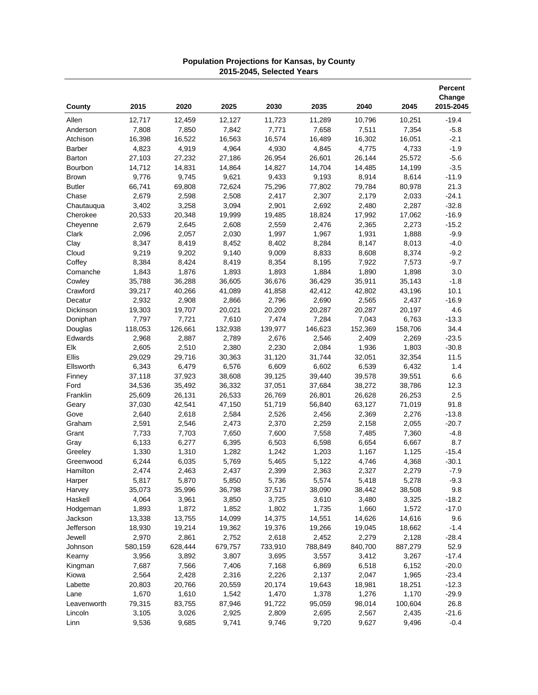|               |         |         |         |         |         |         |         | <b>Percent</b><br>Change |
|---------------|---------|---------|---------|---------|---------|---------|---------|--------------------------|
| County        | 2015    | 2020    | 2025    | 2030    | 2035    | 2040    | 2045    | 2015-2045                |
| Allen         | 12,717  | 12,459  | 12,127  | 11,723  | 11,289  | 10,796  | 10,251  | $-19.4$                  |
| Anderson      | 7,808   | 7,850   | 7,842   | 7,771   | 7,658   | 7,511   | 7,354   | $-5.8$                   |
| Atchison      | 16,398  | 16,522  | 16,563  | 16,574  | 16,489  | 16,302  | 16,051  | $-2.1$                   |
| Barber        | 4,823   | 4,919   | 4,964   | 4,930   | 4,845   | 4,775   | 4,733   | $-1.9$                   |
| Barton        | 27,103  | 27,232  | 27,186  | 26,954  | 26,601  | 26,144  | 25,572  | $-5.6$                   |
| Bourbon       | 14,712  | 14,831  | 14,864  | 14,827  | 14,704  | 14,485  | 14,199  | $-3.5$                   |
| <b>Brown</b>  | 9,776   | 9,745   | 9,621   | 9,433   | 9,193   | 8,914   | 8,614   | $-11.9$                  |
| <b>Butler</b> | 66,741  | 69,808  | 72,624  | 75,296  | 77,802  | 79,784  | 80,978  | 21.3                     |
| Chase         | 2,679   | 2,598   | 2,508   | 2,417   | 2,307   | 2,179   | 2,033   | $-24.1$                  |
| Chautauqua    | 3,402   | 3,258   | 3,094   | 2,901   | 2,692   | 2,480   | 2,287   | $-32.8$                  |
| Cherokee      | 20,533  | 20,348  | 19,999  | 19,485  | 18,824  | 17,992  | 17,062  | $-16.9$                  |
|               | 2,679   | 2,645   | 2,608   |         | 2,476   |         | 2,273   | $-15.2$                  |
| Cheyenne      |         |         |         | 2,559   |         | 2,365   |         |                          |
| Clark         | 2,096   | 2,057   | 2,030   | 1,997   | 1,967   | 1,931   | 1,888   | $-9.9$                   |
| Clay          | 8,347   | 8,419   | 8,452   | 8,402   | 8,284   | 8,147   | 8,013   | $-4.0$                   |
| Cloud         | 9,219   | 9,202   | 9,140   | 9,009   | 8,833   | 8,608   | 8,374   | $-9.2$                   |
| Coffey        | 8,384   | 8,424   | 8,419   | 8,354   | 8,195   | 7,922   | 7,573   | $-9.7$                   |
| Comanche      | 1,843   | 1,876   | 1,893   | 1,893   | 1,884   | 1,890   | 1,898   | 3.0                      |
| Cowley        | 35,788  | 36,288  | 36,605  | 36,676  | 36,429  | 35,911  | 35,143  | $-1.8$                   |
| Crawford      | 39,217  | 40,266  | 41,089  | 41,858  | 42,412  | 42,802  | 43,196  | 10.1                     |
| Decatur       | 2,932   | 2,908   | 2,866   | 2,796   | 2,690   | 2,565   | 2,437   | $-16.9$                  |
| Dickinson     | 19,303  | 19,707  | 20,021  | 20,209  | 20,287  | 20,287  | 20,197  | 4.6                      |
| Doniphan      | 7,797   | 7,721   | 7,610   | 7,474   | 7,284   | 7,043   | 6,763   | $-13.3$                  |
| Douglas       | 118,053 | 126,661 | 132,938 | 139,977 | 146,623 | 152,369 | 158,706 | 34.4                     |
| Edwards       | 2,968   | 2,887   | 2,789   | 2,676   | 2,546   | 2,409   | 2,269   | $-23.5$                  |
| Elk           | 2,605   | 2,510   | 2,380   | 2,230   | 2,084   | 1,936   | 1,803   | $-30.8$                  |
| Ellis         | 29,029  | 29,716  | 30,363  | 31,120  | 31,744  | 32,051  | 32,354  | 11.5                     |
| Ellsworth     | 6,343   | 6,479   | 6,576   | 6,609   | 6,602   | 6,539   | 6,432   | 1.4                      |
| Finney        | 37,118  | 37,923  | 38,608  | 39,125  | 39,440  | 39,578  | 39,551  | 6.6                      |
| Ford          | 34,536  | 35,492  | 36,332  | 37,051  | 37,684  | 38,272  | 38,786  | 12.3                     |
| Franklin      | 25,609  | 26,131  | 26,533  | 26,769  | 26,801  | 26,628  | 26,253  | 2.5                      |
| Geary         | 37,030  | 42,541  | 47,150  | 51,719  | 56,840  | 63,127  | 71,019  | 91.8                     |
| Gove          | 2,640   | 2,618   | 2,584   | 2,526   | 2,456   | 2,369   | 2,276   | $-13.8$                  |
| Graham        | 2,591   | 2,546   | 2,473   | 2,370   | 2,259   | 2,158   | 2,055   | $-20.7$                  |
| Grant         | 7,733   | 7,703   | 7,650   | 7,600   | 7,558   | 7,485   | 7,360   | $-4.8$                   |
| Gray          | 6,133   | 6,277   | 6,395   | 6,503   | 6,598   | 6,654   | 6,667   | 8.7                      |
| Greeley       | 1,330   | 1,310   | 1,282   | 1,242   | 1,203   | 1,167   | 1,125   | $-15.4$                  |
| Greenwood     | 6,244   | 6,035   | 5,769   | 5,465   | 5,122   | 4,746   | 4,368   | $-30.1$                  |
| Hamilton      | 2,474   | 2,463   | 2,437   | 2,399   | 2,363   | 2,327   | 2,279   | $-7.9$                   |
| Harper        | 5,817   | 5,870   | 5,850   | 5,736   | 5,574   | 5,418   | 5,278   | $-9.3$                   |
|               |         |         |         |         | 38,090  |         | 38,508  | 9.8                      |
| Harvey        | 35,073  | 35,996  | 36,798  | 37,517  |         | 38,442  |         |                          |
| Haskell       | 4,064   | 3,961   | 3,850   | 3,725   | 3,610   | 3,480   | 3,325   | $-18.2$                  |
| Hodgeman      | 1,893   | 1,872   | 1,852   | 1,802   | 1,735   | 1,660   | 1,572   | $-17.0$                  |
| Jackson       | 13,338  | 13,755  | 14,099  | 14,375  | 14,551  | 14,626  | 14,616  | 9.6                      |
| Jefferson     | 18,930  | 19,214  | 19,362  | 19,376  | 19,266  | 19,045  | 18,662  | $-1.4$                   |
| Jewell        | 2,970   | 2,861   | 2,752   | 2,618   | 2,452   | 2,279   | 2,128   | $-28.4$                  |
| Johnson       | 580,159 | 628,444 | 679,757 | 733,910 | 788,849 | 840,700 | 887,279 | 52.9                     |
| Kearny        | 3,956   | 3,892   | 3,807   | 3,695   | 3,557   | 3,412   | 3,267   | $-17.4$                  |
| Kingman       | 7,687   | 7,566   | 7,406   | 7,168   | 6,869   | 6,518   | 6,152   | $-20.0$                  |
| Kiowa         | 2,564   | 2,428   | 2,316   | 2,226   | 2,137   | 2,047   | 1,965   | $-23.4$                  |
| Labette       | 20,803  | 20,766  | 20,559  | 20,174  | 19,643  | 18,981  | 18,251  | $-12.3$                  |
| Lane          | 1,670   | 1,610   | 1,542   | 1,470   | 1,378   | 1,276   | 1,170   | $-29.9$                  |
| Leavenworth   | 79,315  | 83,755  | 87,946  | 91,722  | 95,059  | 98,014  | 100,604 | 26.8                     |
| Lincoln       | 3,105   | 3,026   | 2,925   | 2,809   | 2,695   | 2,567   | 2,435   | $-21.6$                  |
| Linn          | 9,536   | 9,685   | 9,741   | 9,746   | 9,720   | 9,627   | 9,496   | $-0.4$                   |

## **Population Projections for Kansas, by County 2015-2045, Selected Years**